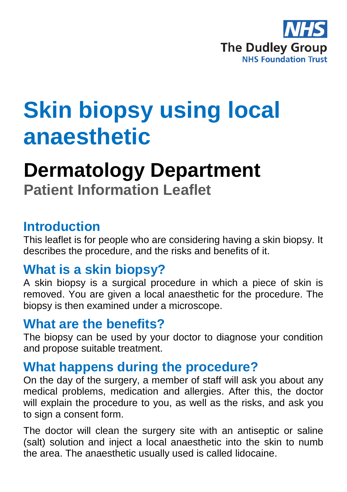

# **Skin biopsy using local anaesthetic**

# **Dermatology Department Patient Information Leaflet**

#### **Introduction**

This leaflet is for people who are considering having a skin biopsy. It describes the procedure, and the risks and benefits of it.

#### **What is a skin biopsy?**

A skin biopsy is a surgical procedure in which a piece of skin is removed. You are given a local anaesthetic for the procedure. The biopsy is then examined under a microscope.

#### **What are the benefits?**

The biopsy can be used by your doctor to diagnose your condition and propose suitable treatment.

#### **What happens during the procedure?**

On the day of the surgery, a member of staff will ask you about any medical problems, medication and allergies. After this, the doctor will explain the procedure to you, as well as the risks, and ask you to sign a consent form.

The doctor will clean the surgery site with an antiseptic or saline (salt) solution and inject a local anaesthetic into the skin to numb the area. The anaesthetic usually used is called lidocaine.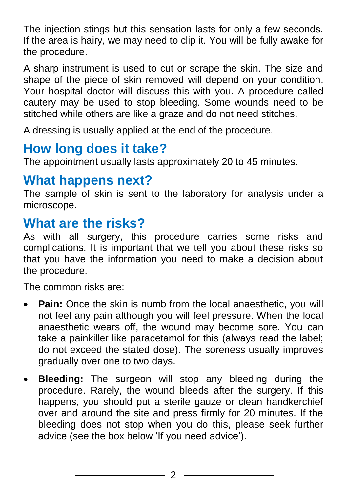The injection stings but this sensation lasts for only a few seconds. If the area is hairy, we may need to clip it. You will be fully awake for the procedure.

A sharp instrument is used to cut or scrape the skin. The size and shape of the piece of skin removed will depend on your condition. Your hospital doctor will discuss this with you. A procedure called cautery may be used to stop bleeding. Some wounds need to be stitched while others are like a graze and do not need stitches.

A dressing is usually applied at the end of the procedure.

# **How long does it take?**

The appointment usually lasts approximately 20 to 45 minutes.

#### **What happens next?**

The sample of skin is sent to the laboratory for analysis under a microscope.

## **What are the risks?**

As with all surgery, this procedure carries some risks and complications. It is important that we tell you about these risks so that you have the information you need to make a decision about the procedure.

The common risks are:

- **Pain:** Once the skin is numb from the local anaesthetic, you will not feel any pain although you will feel pressure. When the local anaesthetic wears off, the wound may become sore. You can take a painkiller like paracetamol for this (always read the label; do not exceed the stated dose). The soreness usually improves gradually over one to two days.
- **Bleeding:** The surgeon will stop any bleeding during the procedure. Rarely, the wound bleeds after the surgery. If this happens, you should put a sterile gauze or clean handkerchief over and around the site and press firmly for 20 minutes. If the bleeding does not stop when you do this, please seek further advice (see the box below 'If you need advice').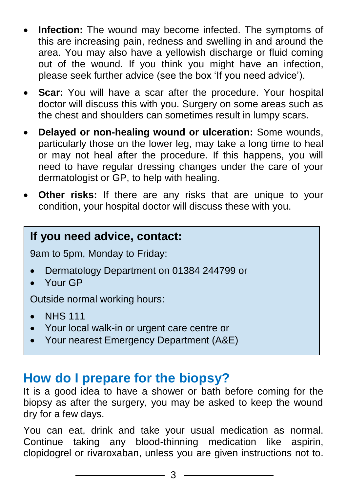- **Infection:** The wound may become infected. The symptoms of this are increasing pain, redness and swelling in and around the area. You may also have a yellowish discharge or fluid coming out of the wound. If you think you might have an infection, please seek further advice (see the box 'If you need advice').
- **Scar:** You will have a scar after the procedure. Your hospital doctor will discuss this with you. Surgery on some areas such as the chest and shoulders can sometimes result in lumpy scars.
- **Delayed or non-healing wound or ulceration:** Some wounds, particularly those on the lower leg, may take a long time to heal or may not heal after the procedure. If this happens, you will need to have regular dressing changes under the care of your dermatologist or GP, to help with healing.
- **Other risks:** If there are any risks that are unique to your condition, your hospital doctor will discuss these with you.

#### **If you need advice, contact:**

9am to 5pm, Monday to Friday:

- Dermatology Department on 01384 244799 or
- Your GP

Outside normal working hours:

- NHS 111
- Your local walk-in or urgent care centre or
- Your nearest Emergency Department (A&E)

#### **How do I prepare for the biopsy?**

It is a good idea to have a shower or bath before coming for the biopsy as after the surgery, you may be asked to keep the wound dry for a few days.

You can eat, drink and take your usual medication as normal. Continue taking any blood-thinning medication like aspirin, clopidogrel or rivaroxaban, unless you are given instructions not to.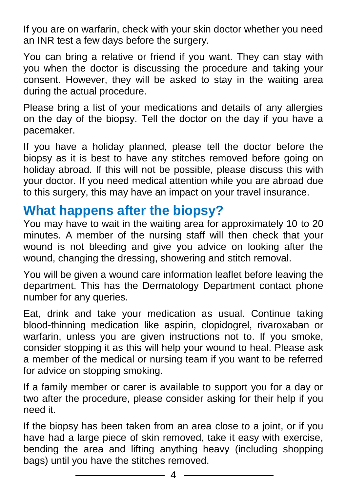If you are on warfarin, check with your skin doctor whether you need an INR test a few days before the surgery.

You can bring a relative or friend if you want. They can stay with you when the doctor is discussing the procedure and taking your consent. However, they will be asked to stay in the waiting area during the actual procedure.

Please bring a list of your medications and details of any allergies on the day of the biopsy. Tell the doctor on the day if you have a pacemaker.

If you have a holiday planned, please tell the doctor before the biopsy as it is best to have any stitches removed before going on holiday abroad. If this will not be possible, please discuss this with your doctor. If you need medical attention while you are abroad due to this surgery, this may have an impact on your travel insurance.

## **What happens after the biopsy?**

You may have to wait in the waiting area for approximately 10 to 20 minutes. A member of the nursing staff will then check that your wound is not bleeding and give you advice on looking after the wound, changing the dressing, showering and stitch removal.

You will be given a wound care information leaflet before leaving the department. This has the Dermatology Department contact phone number for any queries.

Eat, drink and take your medication as usual. Continue taking blood-thinning medication like aspirin, clopidogrel, rivaroxaban or warfarin, unless you are given instructions not to. If you smoke, consider stopping it as this will help your wound to heal. Please ask a member of the medical or nursing team if you want to be referred for advice on stopping smoking.

If a family member or carer is available to support you for a day or two after the procedure, please consider asking for their help if you need it.

If the biopsy has been taken from an area close to a joint, or if you have had a large piece of skin removed, take it easy with exercise, bending the area and lifting anything heavy (including shopping bags) until you have the stitches removed.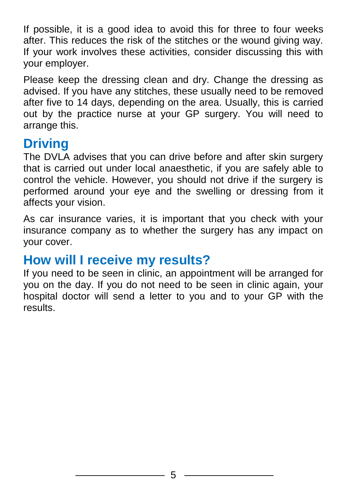If possible, it is a good idea to avoid this for three to four weeks after. This reduces the risk of the stitches or the wound giving way. If your work involves these activities, consider discussing this with your employer.

Please keep the dressing clean and dry. Change the dressing as advised. If you have any stitches, these usually need to be removed after five to 14 days, depending on the area. Usually, this is carried out by the practice nurse at your GP surgery. You will need to arrange this.

# **Driving**

The DVLA advises that you can drive before and after skin surgery that is carried out under local anaesthetic, if you are safely able to control the vehicle. However, you should not drive if the surgery is performed around your eye and the swelling or dressing from it affects your vision.

As car insurance varies, it is important that you check with your insurance company as to whether the surgery has any impact on your cover.

## **How will I receive my results?**

If you need to be seen in clinic, an appointment will be arranged for you on the day. If you do not need to be seen in clinic again, your hospital doctor will send a letter to you and to your GP with the results.